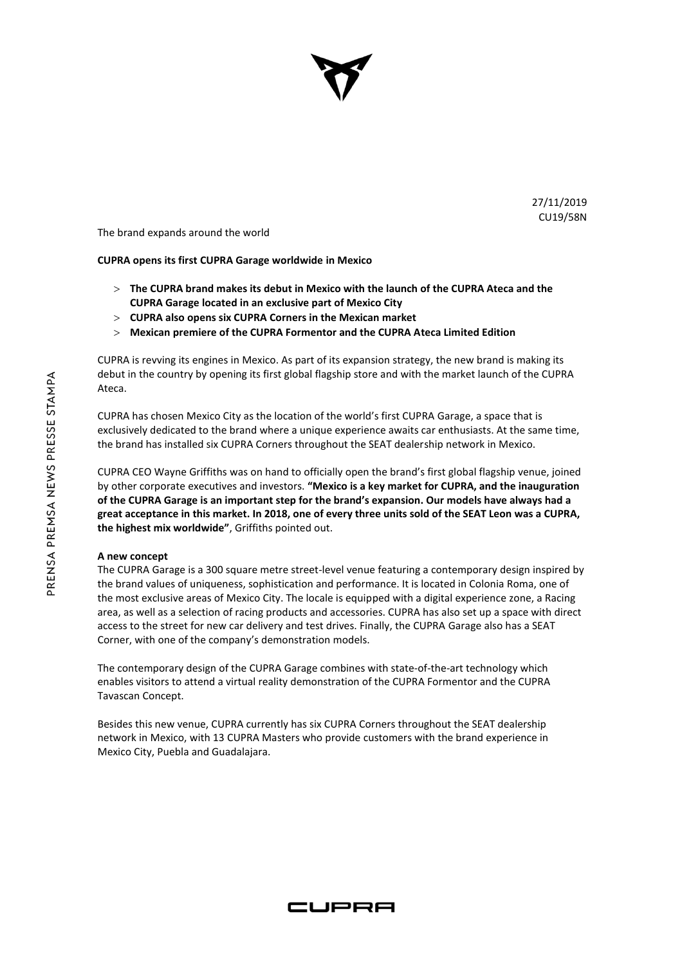

27/11/2019 CU19/58N

The brand expands around the world

## **CUPRA opens its first CUPRA Garage worldwide in Mexico**

- **The CUPRA brand makes its debut in Mexico with the launch of the CUPRA Ateca and the CUPRA Garage located in an exclusive part of Mexico City**
- **CUPRA also opens six CUPRA Corners in the Mexican market**
- **Mexican premiere of the CUPRA Formentor and the CUPRA Ateca Limited Edition**

CUPRA is revving its engines in Mexico. As part of its expansion strategy, the new brand is making its debut in the country by opening its first global flagship store and with the market launch of the CUPRA Ateca.

CUPRA has chosen Mexico City as the location of the world's first CUPRA Garage, a space that is exclusively dedicated to the brand where a unique experience awaits car enthusiasts. At the same time, the brand has installed six CUPRA Corners throughout the SEAT dealership network in Mexico.

CUPRA CEO Wayne Griffiths was on hand to officially open the brand's first global flagship venue, joined by other corporate executives and investors. **"Mexico is a key market for CUPRA, and the inauguration of the CUPRA Garage is an important step for the brand's expansion. Our models have always had a great acceptance in this market. In 2018, one of every three units sold of the SEAT Leon was a CUPRA, the highest mix worldwide"**, Griffiths pointed out.

## **A new concept**

The CUPRA Garage is a 300 square metre street-level venue featuring a contemporary design inspired by the brand values of uniqueness, sophistication and performance. It is located in Colonia Roma, one of the most exclusive areas of Mexico City. The locale is equipped with a digital experience zone, a Racing area, as well as a selection of racing products and accessories. CUPRA has also set up a space with direct access to the street for new car delivery and test drives. Finally, the CUPRA Garage also has a SEAT Corner, with one of the company's demonstration models.

The contemporary design of the CUPRA Garage combines with state-of-the-art technology which enables visitors to attend a virtual reality demonstration of the CUPRA Formentor and the CUPRA Tavascan Concept.

Besides this new venue, CUPRA currently has six CUPRA Corners throughout the SEAT dealership network in Mexico, with 13 CUPRA Masters who provide customers with the brand experience in Mexico City, Puebla and Guadalajara.